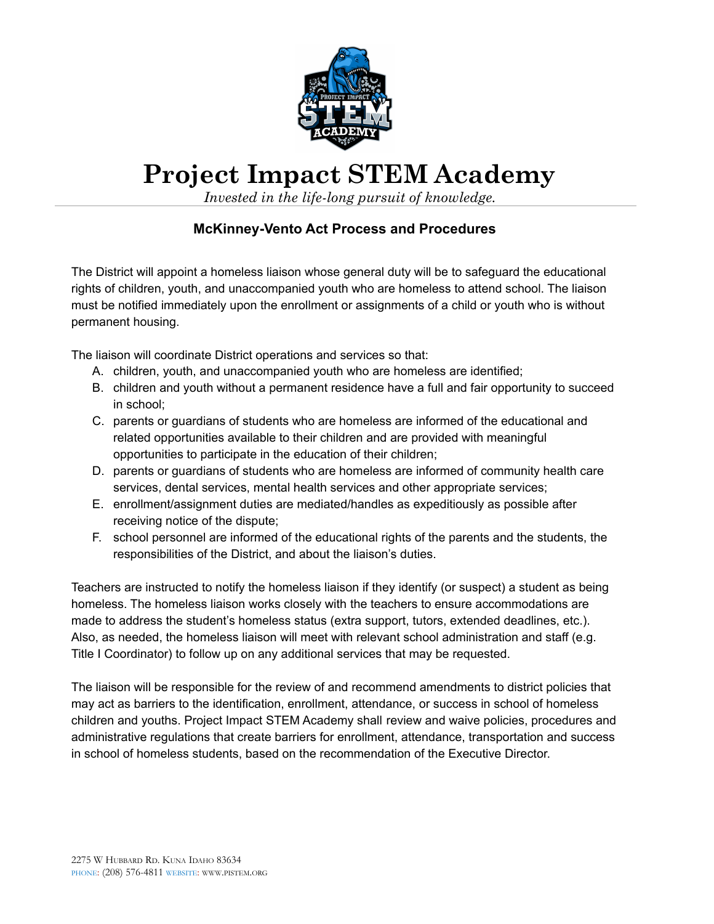

## **Project Impact STEM Academy**

*Invested in the life-long pursuit of knowledge.*

## **McKinney-Vento Act Process and Procedures**

The District will appoint a homeless liaison whose general duty will be to safeguard the educational rights of children, youth, and unaccompanied youth who are homeless to attend school. The liaison must be notified immediately upon the enrollment or assignments of a child or youth who is without permanent housing.

The liaison will coordinate District operations and services so that:

- A. children, youth, and unaccompanied youth who are homeless are identified;
- B. children and youth without a permanent residence have a full and fair opportunity to succeed in school;
- C. parents or guardians of students who are homeless are informed of the educational and related opportunities available to their children and are provided with meaningful opportunities to participate in the education of their children;
- D. parents or guardians of students who are homeless are informed of community health care services, dental services, mental health services and other appropriate services;
- E. enrollment/assignment duties are mediated/handles as expeditiously as possible after receiving notice of the dispute;
- F. school personnel are informed of the educational rights of the parents and the students, the responsibilities of the District, and about the liaison's duties.

Teachers are instructed to notify the homeless liaison if they identify (or suspect) a student as being homeless. The homeless liaison works closely with the teachers to ensure accommodations are made to address the student's homeless status (extra support, tutors, extended deadlines, etc.). Also, as needed, the homeless liaison will meet with relevant school administration and staff (e.g. Title I Coordinator) to follow up on any additional services that may be requested.

The liaison will be responsible for the review of and recommend amendments to district policies that may act as barriers to the identification, enrollment, attendance, or success in school of homeless children and youths. Project Impact STEM Academy shall review and waive policies, procedures and administrative regulations that create barriers for enrollment, attendance, transportation and success in school of homeless students, based on the recommendation of the Executive Director.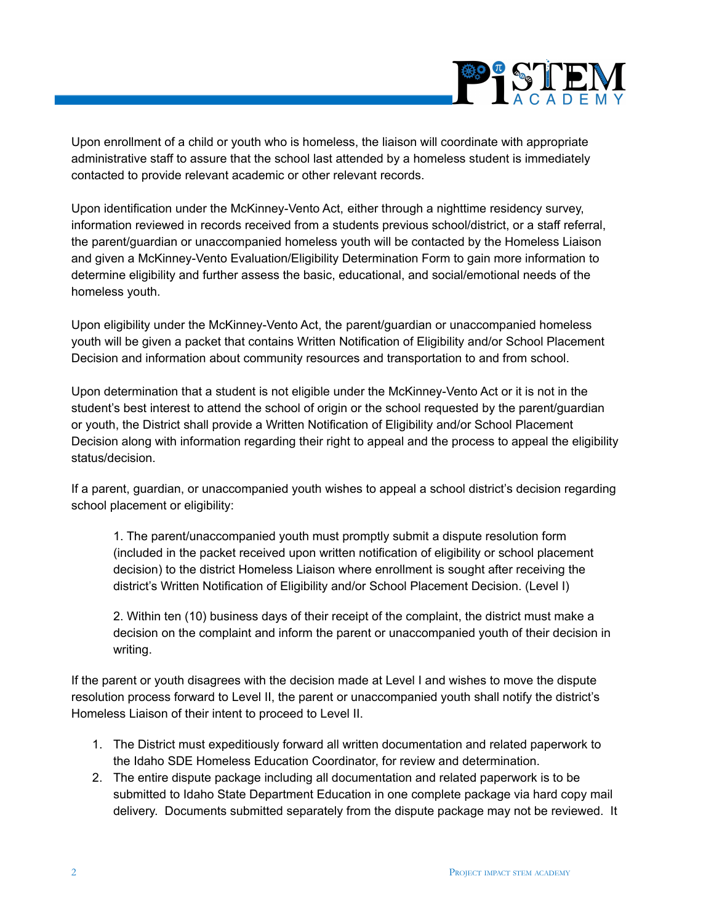

Upon enrollment of a child or youth who is homeless, the liaison will coordinate with appropriate administrative staff to assure that the school last attended by a homeless student is immediately contacted to provide relevant academic or other relevant records.

Upon identification under the McKinney-Vento Act, either through a nighttime residency survey, information reviewed in records received from a students previous school/district, or a staff referral, the parent/guardian or unaccompanied homeless youth will be contacted by the Homeless Liaison and given a McKinney-Vento Evaluation/Eligibility Determination Form to gain more information to determine eligibility and further assess the basic, educational, and social/emotional needs of the homeless youth.

Upon eligibility under the McKinney-Vento Act, the parent/guardian or unaccompanied homeless youth will be given a packet that contains Written Notification of Eligibility and/or School Placement Decision and information about community resources and transportation to and from school.

Upon determination that a student is not eligible under the McKinney-Vento Act or it is not in the student's best interest to attend the school of origin or the school requested by the parent/guardian or youth, the District shall provide a Written Notification of Eligibility and/or School Placement Decision along with information regarding their right to appeal and the process to appeal the eligibility status/decision.

If a parent, guardian, or unaccompanied youth wishes to appeal a school district's decision regarding school placement or eligibility:

1. The parent/unaccompanied youth must promptly submit a dispute resolution form (included in the packet received upon written notification of eligibility or school placement decision) to the district Homeless Liaison where enrollment is sought after receiving the district's Written Notification of Eligibility and/or School Placement Decision. (Level I)

2. Within ten (10) business days of their receipt of the complaint, the district must make a decision on the complaint and inform the parent or unaccompanied youth of their decision in writing.

If the parent or youth disagrees with the decision made at Level I and wishes to move the dispute resolution process forward to Level II, the parent or unaccompanied youth shall notify the district's Homeless Liaison of their intent to proceed to Level II.

- 1. The District must expeditiously forward all written documentation and related paperwork to the Idaho SDE Homeless Education Coordinator, for review and determination.
- 2. The entire dispute package including all documentation and related paperwork is to be submitted to Idaho State Department Education in one complete package via hard copy mail delivery. Documents submitted separately from the dispute package may not be reviewed. It